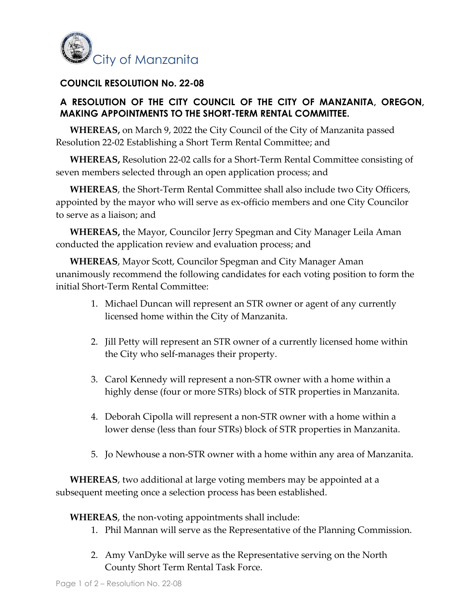

## **COUNCIL RESOLUTION No. 22-08**

## **A RESOLUTION OF THE CITY COUNCIL OF THE CITY OF MANZANITA, OREGON, MAKING APPOINTMENTS TO THE SHORT-TERM RENTAL COMMITTEE.**

**WHEREAS,** on March 9, 2022 the City Council of the City of Manzanita passed Resolution 22-02 Establishing a Short Term Rental Committee; and

**WHEREAS,** Resolution 22-02 calls for a Short-Term Rental Committee consisting of seven members selected through an open application process; and

**WHEREAS**, the Short-Term Rental Committee shall also include two City Officers, appointed by the mayor who will serve as ex-officio members and one City Councilor to serve as a liaison; and

**WHEREAS,** the Mayor, Councilor Jerry Spegman and City Manager Leila Aman conducted the application review and evaluation process; and

**WHEREAS**, Mayor Scott, Councilor Spegman and City Manager Aman unanimously recommend the following candidates for each voting position to form the initial Short-Term Rental Committee:

- 1. Michael Duncan will represent an STR owner or agent of any currently licensed home within the City of Manzanita.
- 2. Jill Petty will represent an STR owner of a currently licensed home within the City who self-manages their property.
- 3. Carol Kennedy will represent a non-STR owner with a home within a highly dense (four or more STRs) block of STR properties in Manzanita.
- 4. Deborah Cipolla will represent a non-STR owner with a home within a lower dense (less than four STRs) block of STR properties in Manzanita.
- 5. Jo Newhouse a non-STR owner with a home within any area of Manzanita.

**WHEREAS**, two additional at large voting members may be appointed at a subsequent meeting once a selection process has been established.

**WHEREAS**, the non-voting appointments shall include:

- 1. Phil Mannan will serve as the Representative of the Planning Commission.
- 2. Amy VanDyke will serve as the Representative serving on the North County Short Term Rental Task Force.